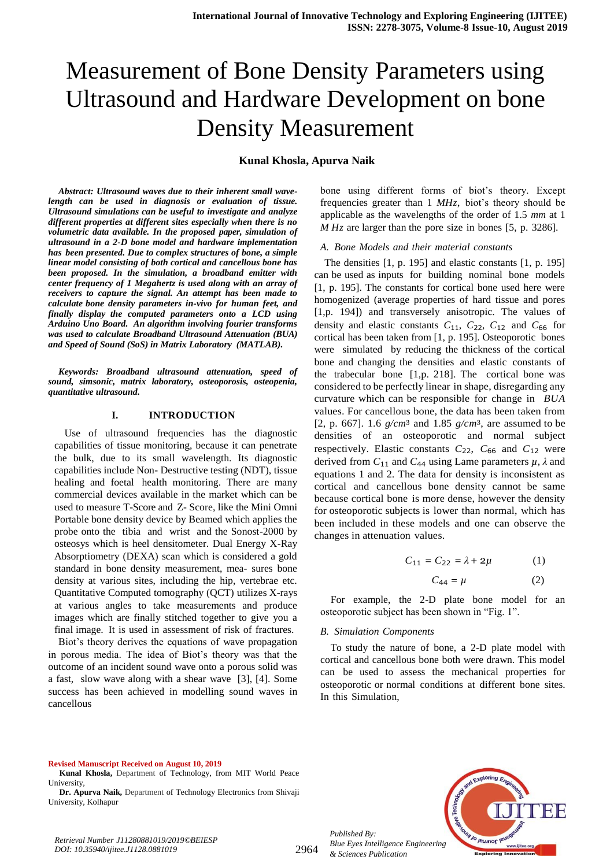# Measurement of Bone Density Parameters using Ultrasound and Hardware Development on bone Density Measurement

**Kunal Khosla, Apurva Naik**

*Abstract: Ultrasound waves due to their inherent small wavelength can be used in diagnosis or evaluation of tissue. Ultrasound simulations can be useful to investigate and analyze different properties at different sites especially when there is no volumetric data available. In the proposed paper, simulation of ultrasound in a 2-D bone model and hardware implementation has been presented. Due to complex structures of bone, a simple linear model consisting of both cortical and cancellous bone has been proposed. In the simulation, a broadband emitter with center frequency of 1 Megahertz is used along with an array of receivers to capture the signal. An attempt has been made to calculate bone density parameters in-vivo for human feet, and finally display the computed parameters onto a LCD using Arduino Uno Board. An algorithm involving fourier transforms was used to calculate Broadband Ultrasound Attenuation (BUA) and Speed of Sound (SoS) in Matrix Laboratory (MATLAB).*

*Keywords: Broadband ultrasound attenuation, speed of sound, simsonic, matrix laboratory, osteoporosis, osteopenia, quantitative ultrasound.*

#### **I. INTRODUCTION**

Use of ultrasound frequencies has the diagnostic capabilities of tissue monitoring, because it can penetrate the bulk, due to its small wavelength. Its diagnostic capabilities include Non- Destructive testing (NDT), tissue healing and foetal health monitoring. There are many commercial devices available in the market which can be used to measure T-Score and Z- Score, like the Mini Omni Portable bone density device by Beamed which applies the probe onto the tibia and wrist and the Sonost-2000 by osteosys which is heel densitometer. Dual Energy X-Ray Absorptiometry (DEXA) scan which is considered a gold standard in bone density measurement, mea- sures bone density at various sites, including the hip, vertebrae etc. Quantitative Computed tomography (QCT) utilizes X-rays at various angles to take measurements and produce images which are finally stitched together to give you a final image. It is used in assessment of risk of fractures.

Biot's theory derives the equations of wave propagation in porous media. The idea of Biot's theory was that the outcome of an incident sound wave onto a porous solid was a fast, slow wave along with a shear wave [3], [4]. Some success has been achieved in modelling sound waves in cancellous

bone using different forms of biot's theory. Except frequencies greater than 1 *MHz*, biot's theory should be applicable as the wavelengths of the order of 1.5 *mm* at 1 *M Hz* are larger than the pore size in bones [5, p. 3286].

#### *A. Bone Models and their material constants*

The densities [1, p. 195] and elastic constants [1, p. 195] can be used as inputs for building nominal bone models [1, p. 195]. The constants for cortical bone used here were homogenized (average properties of hard tissue and pores [1,p. 194]) and transversely anisotropic. The values of density and elastic constants  $C_{11}$ ,  $C_{22}$ ,  $C_{12}$  and  $C_{66}$  for cortical has been taken from [1, p. 195]. Osteoporotic bones were simulated by reducing the thickness of the cortical bone and changing the densities and elastic constants of the trabecular bone [1,p. 218]. The cortical bone was considered to be perfectly linear in shape, disregarding any curvature which can be responsible for change in *BUA* values. For cancellous bone, the data has been taken from [2, p. 667]. 1.6 *g/cm*<sup>3</sup> and 1.85 *g/cm*3, are assumed to be densities of an osteoporotic and normal subject respectively. Elastic constants  $C_{22}$ ,  $C_{66}$  and  $C_{12}$  were derived from  $C_{11}$  and  $C_{44}$  using Lame parameters  $\mu$ ,  $\lambda$  and equations 1 and 2. The data for density is inconsistent as cortical and cancellous bone density cannot be same because cortical bone is more dense, however the density for osteoporotic subjects is lower than normal, which has been included in these models and one can observe the changes in attenuation values.

$$
C_{11} = C_{22} = \lambda + 2\mu
$$
 (1)  

$$
C_{44} = \mu
$$
 (2)

For example, the 2-D plate bone model for an osteoporotic subject has been shown in "Fig. 1".

#### *B. Simulation Components*

To study the nature of bone, a 2-D plate model with cortical and cancellous bone both were drawn. This model can be used to assess the mechanical properties for osteoporotic or normal conditions at different bone sites. In this Simulation,

**Revised Manuscript Received on August 10, 2019**

*Retrieval Number J11280881019/2019©BEIESP DOI: 10.35940/ijitee.J1128.0881019*

# 2964

*Published By:*

*& Sciences Publication* 



**Kunal Khosla,** Department of Technology, from MIT World Peace University,

**Dr. Apurva Naik,** Department of Technology Electronics from Shivaji University, Kolhapur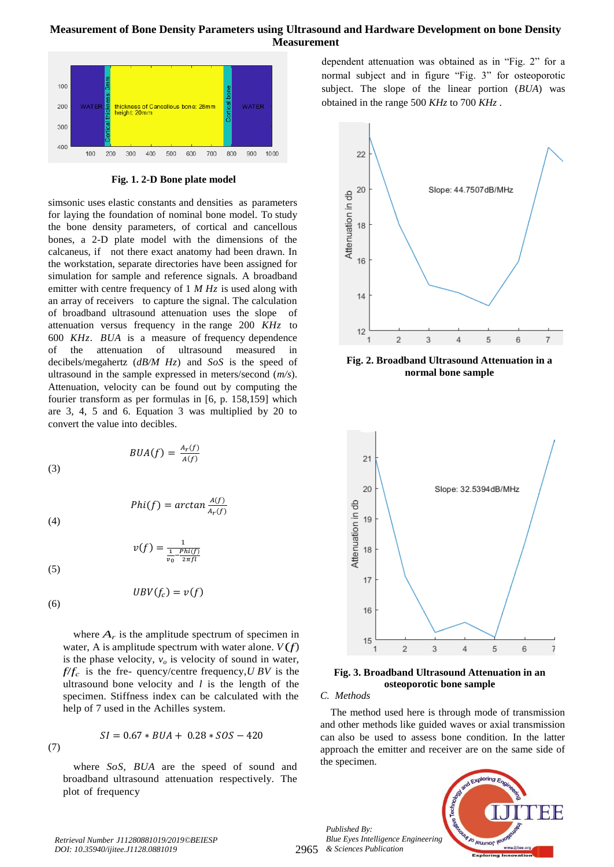# **Measurement of Bone Density Parameters using Ultrasound and Hardware Development on bone Density Measurement**



**Fig. 1. 2-D Bone plate model**

simsonic uses elastic constants and densities as parameters for laying the foundation of nominal bone model. To study the bone density parameters, of cortical and cancellous bones, a 2-D plate model with the dimensions of the calcaneus, if not there exact anatomy had been drawn. In the workstation, separate directories have been assigned for simulation for sample and reference signals. A broadband emitter with centre frequency of 1 *M Hz* is used along with an array of receivers to capture the signal. The calculation of broadband ultrasound attenuation uses the slope of attenuation versus frequency in the range 200 *KHz* to 600 *KHz*. *BUA* is a measure of frequency dependence of the attenuation of ultrasound measured in decibels/megahertz (*dB/M Hz*) and *SoS* is the speed of ultrasound in the sample expressed in meters/second (*m/s*). Attenuation, velocity can be found out by computing the fourier transform as per formulas in [6, p. 158,159] which are 3, 4, 5 and 6. Equation 3 was multiplied by 20 to convert the value into decibles.

$$
BUA(f) = \frac{A_r(f)}{A(f)}
$$

(3)

(4)

$$
v(f) = \frac{1}{\frac{1}{v_0} - \frac{Phi(f)}{2\pi f l}}
$$

 $\frac{A(f)}{A_f(f)}$ 

(5)

(6)

(7)

 $UBV(f_c) = v(f)$ 

where  $A_r$  is the amplitude spectrum of specimen in water, A is amplitude spectrum with water alone.  $V(f)$ is the phase velocity,  $v<sub>o</sub>$  is velocity of sound in water,  $f/f_c$  is the fre- quency/centre frequency, *U BV* is the ultrasound bone velocity and *l* is the length of the specimen. Stiffness index can be calculated with the help of 7 used in the Achilles system.

$$
SI = 0.67 * BUA + 0.28 * SOS - 420
$$

where *SoS*, *BUA* are the speed of sound and broadband ultrasound attenuation respectively. The plot of frequency

dependent attenuation was obtained as in "Fig. 2" for a normal subject and in figure "Fig. 3" for osteoporotic subject. The slope of the linear portion (*BUA*) was obtained in the range 500 *KHz* to 700 *KHz* .



**Fig. 2. Broadband Ultrasound Attenuation in a normal bone sample**



**Fig. 3. Broadband Ultrasound Attenuation in an osteoporotic bone sample**

## *C. Methods*

The method used here is through mode of transmission and other methods like guided waves or axial transmission can also be used to assess bone condition. In the latter approach the emitter and receiver are on the same side of the specimen.



*Retrieval Number J11280881019/2019©BEIESP DOI: 10.35940/ijitee.J1128.0881019*

2965 *& Sciences Publication Blue Eyes Intelligence Engineering* 

*Published By:*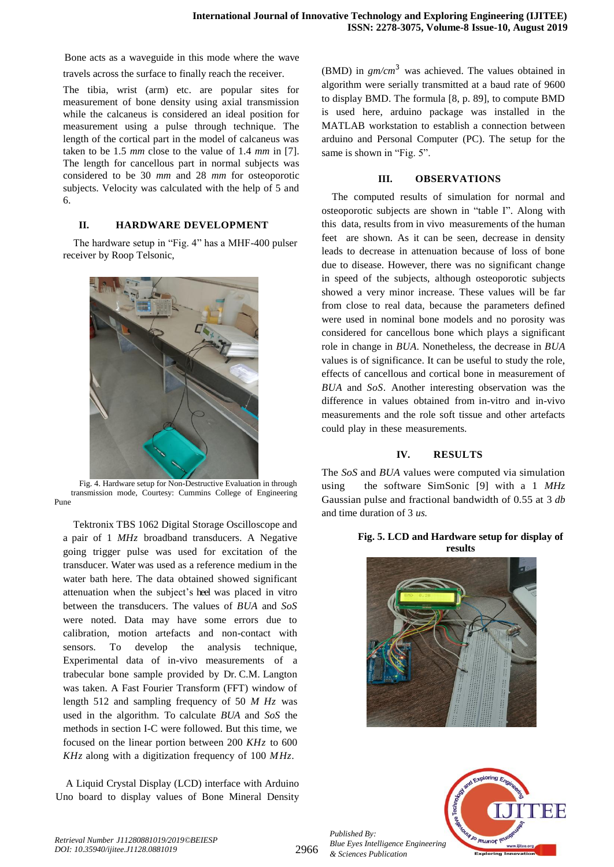Bone acts as a waveguide in this mode where the wave

travels across the surface to finally reach the receiver.

The tibia, wrist (arm) etc. are popular sites for measurement of bone density using axial transmission while the calcaneus is considered an ideal position for measurement using a pulse through technique. The length of the cortical part in the model of calcaneus was taken to be 1.5 *mm* close to the value of 1.4 *mm* in [7]. The length for cancellous part in normal subjects was considered to be 30 *mm* and 28 *mm* for osteoporotic subjects. Velocity was calculated with the help of 5 and 6.

## **II. HARDWARE DEVELOPMENT**

The hardware setup in "Fig. 4" has a MHF-400 pulser receiver by Roop Telsonic,



 Fig. 4. Hardware setup for Non-Destructive Evaluation in through transmission mode, Courtesy: Cummins College of Engineering Pune

Tektronix TBS 1062 Digital Storage Oscilloscope and a pair of 1 *MHz* broadband transducers. A Negative going trigger pulse was used for excitation of the transducer. Water was used as a reference medium in the water bath here. The data obtained showed significant attenuation when the subject's heel was placed in vitro between the transducers. The values of *BUA* and *SoS*  were noted. Data may have some errors due to calibration, motion artefacts and non-contact with sensors. To develop the analysis technique, Experimental data of in-vivo measurements of a trabecular bone sample provided by Dr. C.M. Langton was taken. A Fast Fourier Transform (FFT) window of length 512 and sampling frequency of 50 *M Hz* was used in the algorithm. To calculate *BUA* and *SoS* the methods in section I-C were followed. But this time, we focused on the linear portion between 200 *KHz* to 600 *KHz* along with a digitization frequency of 100 *MHz*.

A Liquid Crystal Display (LCD) interface with Arduino Uno board to display values of Bone Mineral Density

(BMD) in *gm/cm*<sup>3</sup> was achieved. The values obtained in algorithm were serially transmitted at a baud rate of 9600 to display BMD. The formula [8, p. 89], to compute BMD is used here, arduino package was installed in the MATLAB workstation to establish a connection between arduino and Personal Computer (PC). The setup for the same is shown in "Fig. 5".

#### **III. OBSERVATIONS**

The computed results of simulation for normal and osteoporotic subjects are shown in "table I". Along with this data, results from in vivo measurements of the human feet are shown. As it can be seen, decrease in density leads to decrease in attenuation because of loss of bone due to disease. However, there was no significant change in speed of the subjects, although osteoporotic subjects showed a very minor increase. These values will be far from close to real data, because the parameters defined were used in nominal bone models and no porosity was considered for cancellous bone which plays a significant role in change in *BUA*. Nonetheless, the decrease in *BUA*  values is of significance. It can be useful to study the role, effects of cancellous and cortical bone in measurement of *BUA* and *SoS*. Another interesting observation was the difference in values obtained from in-vitro and in-vivo measurements and the role soft tissue and other artefacts could play in these measurements.

## **IV. RESULTS**

The *SoS* and *BUA* values were computed via simulation using the software SimSonic [9] with a 1 *MHz* Gaussian pulse and fractional bandwidth of 0.55 at 3 *db* and time duration of 3 *us.*

#### **Fig. 5. LCD and Hardware setup for display of results**





*Published By: Blue Eyes Intelligence Engineering & Sciences Publication*